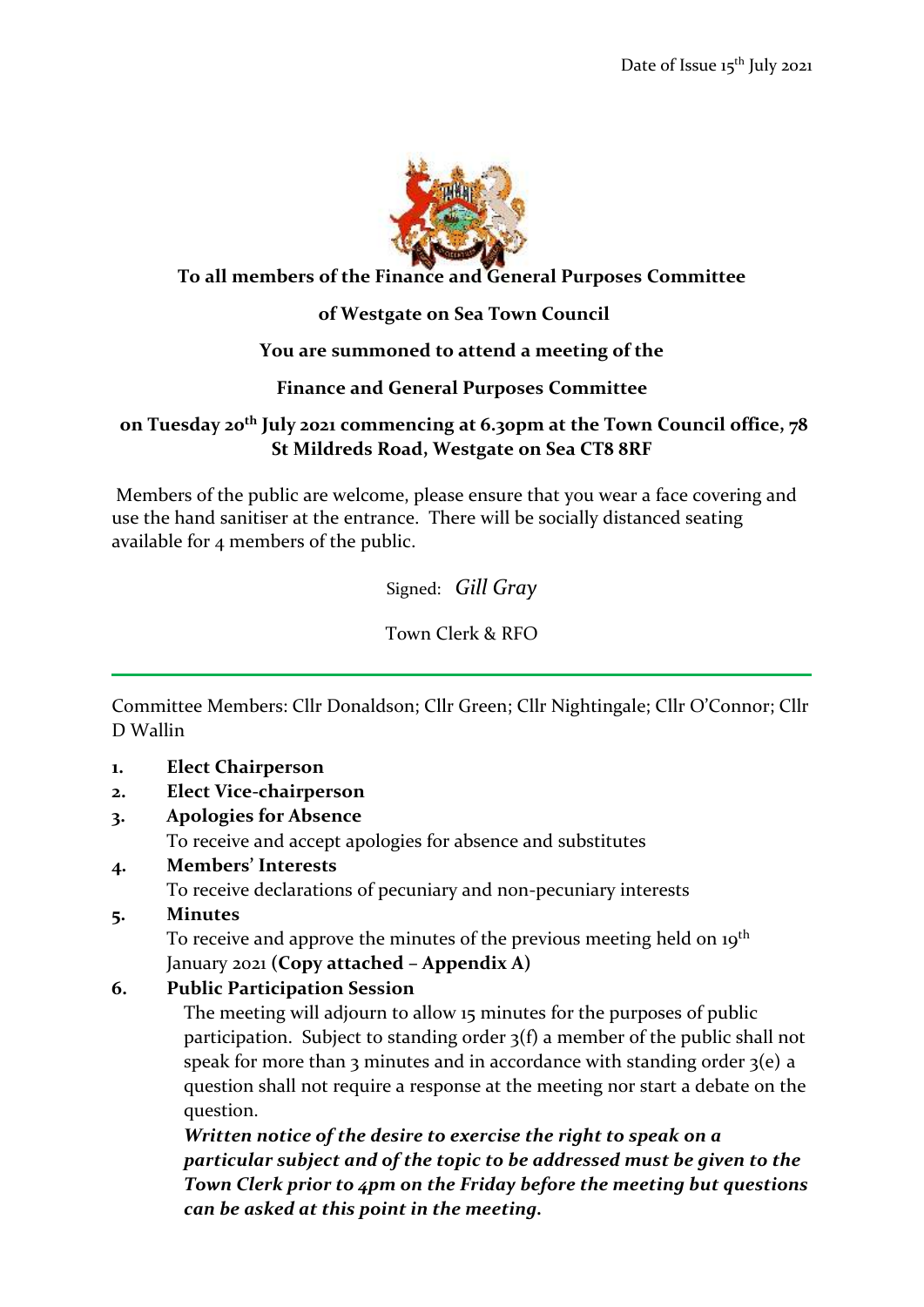

#### **To all members of the Finance and General Purposes Committee**

## **of Westgate on Sea Town Council**

#### **You are summoned to attend a meeting of the**

## **Finance and General Purposes Committee**

## **on Tuesday 20th July 2021 commencing at 6.30pm at the Town Council office, 78 St Mildreds Road, Westgate on Sea CT8 8RF**

Members of the public are welcome, please ensure that you wear a face covering and use the hand sanitiser at the entrance. There will be socially distanced seating available for 4 members of the public.

Signed: *Gill Gray*

Town Clerk & RFO

Committee Members: Cllr Donaldson; Cllr Green; Cllr Nightingale; Cllr O'Connor; Cllr D Wallin

**1. Elect Chairperson**

# **2. Elect Vice-chairperson**

**3. Apologies for Absence**

To receive and accept apologies for absence and substitutes

**4. Members' Interests**

To receive declarations of pecuniary and non-pecuniary interests

**5. Minutes**

To receive and approve the minutes of the previous meeting held on 19<sup>th</sup> January 2021 **(Copy attached – Appendix A)**

# **6. Public Participation Session**

The meeting will adjourn to allow 15 minutes for the purposes of public participation. Subject to standing order 3(f) a member of the public shall not speak for more than 3 minutes and in accordance with standing order  $3(e)$  a question shall not require a response at the meeting nor start a debate on the question.

*Written notice of the desire to exercise the right to speak on a particular subject and of the topic to be addressed must be given to the Town Clerk prior to 4pm on the Friday before the meeting but questions can be asked at this point in the meeting.*